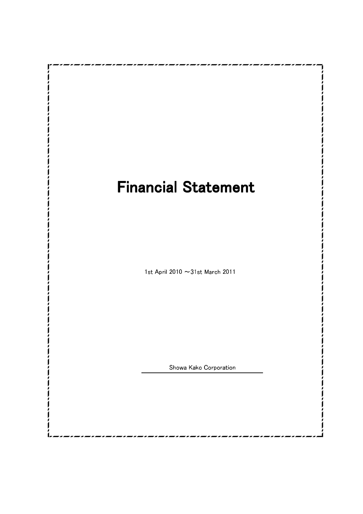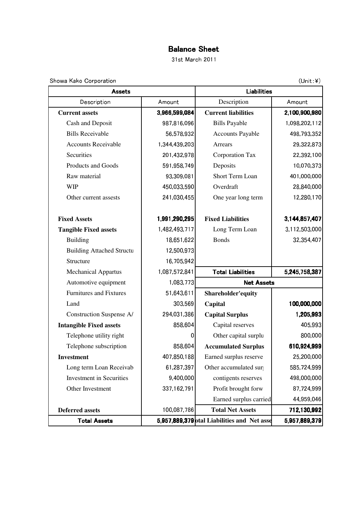## Balance Sheet

31st March 2011

Showa Kako Corporation

 $(Unit:4)$ 

| <b>Assets</b>                    |                | Liabilities                                 |               |  |
|----------------------------------|----------------|---------------------------------------------|---------------|--|
| Description                      | Amount         | Description                                 | Amount        |  |
| <b>Current assets</b>            | 3,966,599,084  | <b>Current liabilities</b>                  | 2,100,900,980 |  |
| Cash and Deposit                 | 987,816,096    | <b>Bills Payable</b>                        | 1,098,202,112 |  |
| <b>Bills Receivable</b>          | 56,578,932     | <b>Accounts Payable</b>                     | 498,793,352   |  |
| <b>Accounts Receivable</b>       | 1,344,439,203  | Arrears                                     | 29,322,873    |  |
| Securities                       | 201,432,978    | Corporation Tax                             | 22,392,100    |  |
| Products and Goods               | 591,958,749    | Deposits                                    | 10,070,373    |  |
| Raw material                     | 93,309,081     | Short Term Loan                             | 401,000,000   |  |
| <b>WIP</b>                       | 450,033,590    | Overdraft                                   | 28,840,000    |  |
| Other current assests            | 241,030,455    | One year long term                          | 12,280,170    |  |
| <b>Fixed Assets</b>              | 1,991,290,295  | <b>Fixed Liabilities</b>                    | 3,144,857,407 |  |
| <b>Tangible Fixed assets</b>     | 1,482,493,717  | Long Term Loan                              | 3,112,503,000 |  |
| <b>Building</b>                  | 18,651,622     | <b>Bonds</b>                                | 32,354,407    |  |
| <b>Building Attached Structu</b> | 12,500,973     |                                             |               |  |
| Structure                        | 16,705,942     |                                             |               |  |
| <b>Mechanical Appartus</b>       | 1,087,572,841  | <b>Total Liabilities</b>                    | 5,245,758,387 |  |
| Automotive equipment             | 1,083,773      | <b>Net Assets</b>                           |               |  |
| <b>Furnitures and Fixtures</b>   | 51,643,611     | Shareholder'equity                          |               |  |
| Land                             | 303,569        | Capital                                     | 100,000,000   |  |
| Construction Suspense A/         | 294,031,386    | <b>Capital Surplus</b>                      | 1,205,993     |  |
| <b>Intangible Fixed assets</b>   | 858,604        | Capital reserves                            | 405,993       |  |
| Telephone utility right          | $\overline{0}$ | Other capital surplu                        | 800,000       |  |
| Telephone subscription           | 858,604        | <b>Accumulated Surplus</b>                  | 610,924,999   |  |
| <b>Investment</b>                | 407,850,188    | Earned surplus reserve                      | 25,200,000    |  |
| Long term Loan Receivab          | 61,287,397     | Other accumulated sur                       | 585,724,999   |  |
| <b>Investment</b> in Securities  | 9,400,000      | contigents reserves                         | 498,000,000   |  |
| Other Investment                 | 337,162,791    | Profit brought forw                         | 87,724,999    |  |
|                                  |                | Earned surplus carried                      | 44,959,046    |  |
| <b>Deferred assets</b>           | 100,087,786    | <b>Total Net Assets</b>                     | 712,130,992   |  |
| <b>Total Assets</b>              |                | 5,957,889,379 otal Liabilities and Net asse | 5,957,889,379 |  |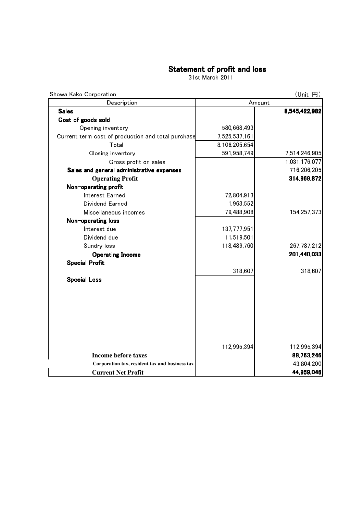### Statement of profit and loss

31st March 2011

| Showa Kako Corporation                             |               | (Unit : H)    |  |
|----------------------------------------------------|---------------|---------------|--|
| Description                                        | Amount        |               |  |
| <b>Sales</b>                                       |               | 8,545,422,982 |  |
| Cost of goods sold                                 |               |               |  |
| Opening inventory                                  | 580,668,493   |               |  |
| Current term cost of production and total purchase | 7,525,537,161 |               |  |
| Total                                              | 8,106,205,654 |               |  |
| Closing inventory                                  | 591,958,749   | 7,514,246,905 |  |
| Gross profit on sales                              |               | 1,031,176,077 |  |
| Sales and general administrative expenses          |               | 716,206,205   |  |
| <b>Operating Profit</b>                            |               | 314,969,872   |  |
| Non-operating profit                               |               |               |  |
| <b>Interest Earned</b>                             | 72,804,913    |               |  |
| Dividend Earned                                    | 1,963,552     |               |  |
| Miscellaneous incomes                              | 79,488,908    | 154,257,373   |  |
| Non-operating loss                                 |               |               |  |
| Interest due                                       | 137,777,951   |               |  |
| Dividend due                                       | 11,519,501    |               |  |
| Sundry loss                                        | 118,489,760   | 267,787,212   |  |
| <b>Operating Income</b>                            |               | 201,440,033   |  |
| <b>Special Profit</b>                              |               |               |  |
|                                                    | 318,607       | 318,607       |  |
| <b>Special Loss</b>                                |               |               |  |
|                                                    |               |               |  |
|                                                    |               |               |  |
|                                                    |               |               |  |
|                                                    |               |               |  |
|                                                    |               |               |  |
|                                                    |               |               |  |
|                                                    |               |               |  |
|                                                    | 112,995,394   | 112,995,394   |  |
| <b>Income before taxes</b>                         |               | 88,763,246    |  |
| Corporation tax, resident tax and business tax     |               | 43,804,200    |  |
| <b>Current Net Profit</b>                          |               | 44,959,046    |  |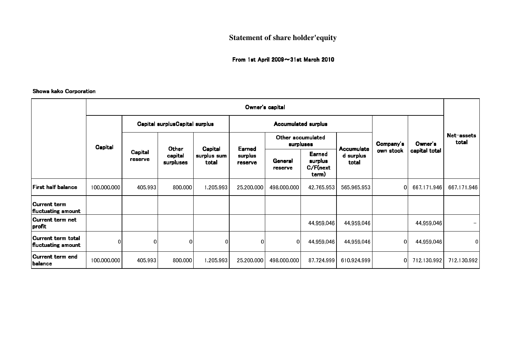# **Statement of share holder'equity**

### From 1st April 2009~31st March 2010

#### Showa kako Corporation

|                                                 | Owner's capital |                                |                               |                                 |                              |                                |                                       |                                         |                |               |                     |
|-------------------------------------------------|-----------------|--------------------------------|-------------------------------|---------------------------------|------------------------------|--------------------------------|---------------------------------------|-----------------------------------------|----------------|---------------|---------------------|
|                                                 |                 | Capital surplusCapital surplus |                               |                                 | <b>Accumulated surplus</b>   |                                |                                       |                                         |                |               |                     |
|                                                 | Capital         | Capital<br>reserve             |                               | Capital<br>surplus sum<br>total | Earned<br>surplus<br>reserve | Other accumulated<br>surpluses |                                       |                                         | Company's      | Owner's       | Net-assets<br>total |
|                                                 |                 |                                | Other<br>capital<br>surpluses |                                 |                              | General<br>reserve             | Earned<br>surplus<br>C/F(new<br>term) | <b>Accumulate</b><br>d surplus<br>total | own stock      | capital total |                     |
| <b>First half balance</b>                       | 100,000,000     | 405,993                        | 800,000                       | 1,205,993                       | 25,200,000                   | 498,000,000                    | 42,765,953                            | 565,965,953                             | 0              | 667,171,946   | 667,171,946         |
| Current term<br><b>fluctuating amount</b>       |                 |                                |                               |                                 |                              |                                |                                       |                                         |                |               |                     |
| Current term net<br> profit                     |                 |                                |                               |                                 |                              |                                | 44,959,046                            | 44,959,046                              |                | 44,959,046    |                     |
| Current term total<br><b>fluctuating amount</b> | 01              | $\mathbf 0$                    | $\overline{0}$                | 01                              | 01                           | 01                             | 44,959,046                            | 44,959,046                              | $\overline{0}$ | 44,959,046    | 0                   |
| Current term end<br> balance                    | 100,000,000     | 405,993                        | 800,000                       | 1,205,993                       | 25,200,000                   | 498,000,000                    | 87,724,999                            | 610,924,999                             | 0I             | 712,130,992   | 712,130,992         |